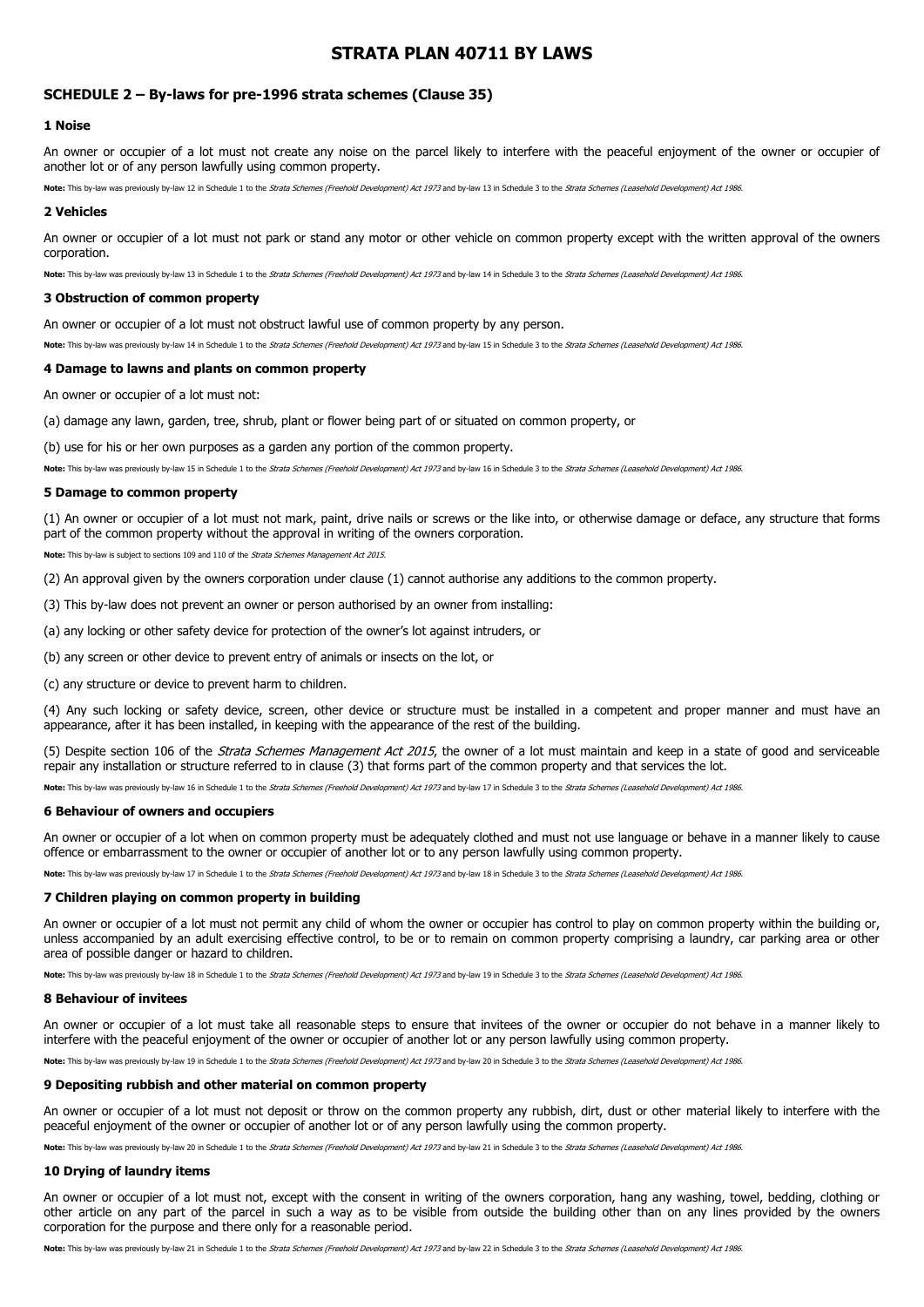# **STRATA PLAN 40711 BY LAWS**

# **SCHEDULE 2 – By-laws for pre-1996 strata schemes (Clause 35)**

# **1 Noise**

An owner or occupier of a lot must not create any noise on the parcel likely to interfere with the peaceful enjoyment of the owner or occupier of another lot or of any person lawfully using common property.

Note: This by-law was previously by-law 12 in Schedule 1 to the Strata Schemes (Freehold Development) Act 1973 and by-law 13 in Schedule 3 to the Strata Schemes (Leasehold Development) Act 1986.

#### **2 Vehicles**

An owner or occupier of a lot must not park or stand any motor or other vehicle on common property except with the written approval of the owners corporation.

Note: This by-law was previously by-law 13 in Schedule 1 to the Strata Schemes (Freehold Development) Act 1973 and by-law 14 in Schedule 3 to the Strata Schemes (Leasehold Development) Act 1986.

#### **3 Obstruction of common property**

An owner or occupier of a lot must not obstruct lawful use of common property by any person.

Note: This by-law was previously by-law 14 in Schedule 1 to the Strata Schemes (Freehold Development) Act 1973 and by-law 15 in Schedule 3 to the Strata Schemes (Leasehold Development) Act 1986.

# **4 Damage to lawns and plants on common property**

An owner or occupier of a lot must not:

(a) damage any lawn, garden, tree, shrub, plant or flower being part of or situated on common property, or

(b) use for his or her own purposes as a garden any portion of the common property.

**Note:** This by-law was previously by-law 15 in Schedule 1 to the Strata Schemes (Freehold Development) Act 1973 and by-law 16 in Schedule 3 to the Strata Schemes (Leasehold Development) Act 1986.

## **5 Damage to common property**

(1) An owner or occupier of a lot must not mark, paint, drive nails or screws or the like into, or otherwise damage or deface, any structure that forms part of the common property without the approval in writing of the owners corporation.

**Note:** This by-law is subject to sections 109 and 110 of the [Strata Schemes Management Act](http://www.austlii.edu.au/au/legis/nsw/consol_act/ssma2015242/) [2015](http://www.austlii.edu.au/au/legis/nsw/consol_act/ssma2015242/).

(2) An approval given by the owners corporation under [clause](http://www.austlii.edu.au/au/legis/nsw/consol_reg/ssmr2016333/s68.html#clause) (1) cannot authorise any additions to the common property.

(3) This by-law does not prevent an owner or person authorised by an owner from installing:

(a) any locking or other safety device for protection of the owner's lot against intruders, or

(b) any screen or other device to prevent entry of animals or insects on the lot, or

(c) any structure or device to prevent harm to children.

(4) Any such locking or safety device, screen, other device or structure must be installed in a competent and proper manner and must have an appearance, after it has been installed, in keeping with the appearance of the rest of the building.

(5) Despite section 106 of the *[Strata Schemes](http://www.austlii.edu.au/au/legis/nsw/consol_act/ssma2015242/) [Management Act 2015](http://www.austlii.edu.au/au/legis/nsw/consol_act/ssma2015242/)*, the owner of a lot must maintain and keep in a state of good and serviceable repair any installation or structure referred to in [clause](http://www.austlii.edu.au/au/legis/nsw/consol_reg/ssmr2016333/s68.html#clause) (3) that forms part of the common property and that services the lot.

Note: This by-law was previously by-law 16 in Schedule 1 to the Strata Schemes (Freehold Development) Act 1973 and by-law 17 in Schedule 3 to the Strata Schemes (Leasehold Development) Act 1986.

# **6 Behaviour of owners and occupiers**

An owner or occupier of a lot when on common property must be adequately clothed and must not use language or behave in a manner likely to cause offence or embarrassment to the owner or occupier of another lot or to any person lawfully using common property.

Note: This by-law was previously by-law 17 in Schedule 1 to the Strata Schemes (Freehold Development) Act 1973 and by-law 18 in Schedule 3 to the Strata Schemes (Leasehold Development) Act 1986.

# **7 Children playing on common property in building**

An owner or occupier of a lot must not permit any child of whom the owner or occupier has control to play on common property within the building or, unless accompanied by an adult exercising effective control, to be or to remain on common property comprising a laundry, car parking area or other area of possible danger or hazard to children.

**Note:** This by-law was previously by-law 18 in Schedule 1 to the Strata Schemes (Freehold Development) Act 1973 and by-law 19 in Schedule 3 to the Strata Schemes (Leasehold Development) Act 1986.

#### **8 Behaviour of invitees**

An owner or occupier of a lot must take all reasonable steps to ensure that invitees of the owner or occupier do not behave in a manner likely to interfere with the peaceful enjoyment of the owner or occupier of another lot or any person lawfully using common property.

**Note:** This by-law was previously by-law 19 in Schedule 1 to the Strata Schemes (Freehold Development) Act 1973 and by-law 20 in Schedule 3 to the Strata Schemes (Leasehold Development) Act 1986.

#### **9 Depositing rubbish and other material on common property**

An owner or occupier of a lot must not deposit or throw on the common property any rubbish, dirt, dust or other material likely to interfere with the peaceful enjoyment of the owner or occupier of another lot or of any person lawfully using the common property.

Note: This by-law was previously by-law 20 in Schedule 1 to the Strata Schemes (Freehold Development) Act 1973 and by-law 21 in Schedule 3 to the Strata Schemes (Leasehold Development) Act 1986.

### **10 Drying of laundry items**

An owner or occupier of a lot must not, except with the consent in writing of the owners corporation, hang any washing, towel, bedding, clothing or other article on any part of the parcel in such a way as to be visible from outside the building other than on any lines provided by the owners corporation for the purpose and there only for a reasonable period.

Note: This by-law was previously by-law 21 in Schedule 1 to the Strata Schemes (Freehold Development) Act 1973 and by-law 22 in Schedule 3 to the Strata Schemes (Leasehold Development) Act 1986.